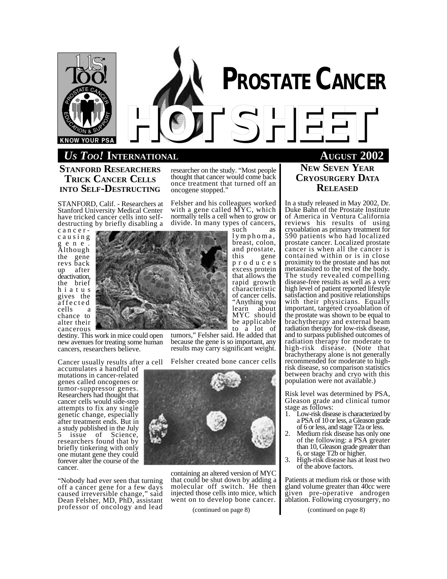

# **PROSTATE CANCER** *HOTSHEET*

# *US TOO!* **INTERNATIONAL AUGUST 2002**

**STANFORD RESEARCHERS TRICK CANCER CELLS INTO SELF-DESTRUCTING**

STANFORD, Calif. - Researchers at Stanford University Medical Center have tricked cancer cells into selfdestructing by briefly disabling a

c a n c e r c a u s i n g g e n e . Although the gene revs back up after deactivation, the brief h i a t u s gives the affected cells a chance to alter their cancerous

destiny. This work in mice could open new avenues for treating some human cancers, researchers believe.

Cancer usually results after a cell

accumulates a handful of mutations in cancer-related genes called oncogenes or tumor-suppressor genes. Researchers had thought that cancer cells would side-step attempts to fix any single genetic change, especially after treatment ends. But in a study published in the July issue of Science, researchers found that by briefly tinkering with only one mutant gene they could forever alter the course of the cancer.

"Nobody had ever seen that turning off a cancer gene for a few days caused irreversible change," said Dean Felsher, MD, PhD, assistant professor of oncology and lead

researcher on the study. "Most people thought that cancer would come back once treatment that turned off an oncogene stopped."

Felsher and his colleagues worked with a gene called MYC, which normally tells a cell when to grow or divide. In many types of cancers,

such as lymphoma, breast, colon, and prostate,<br>this gene gene p r o d u c e s excess protein that allows the rapid growth characteristic of cancer cells. "Anything you learn about MYC should be applicable to a lot of

tumors," Felsher said. He added that because the gene is so important, any results may carry significant weight.

Felsher created bone cancer cells



containing an altered version of MYC that could be shut down by adding a molecular off switch. He then injected those cells into mice, which went on to develop bone cancer.

(continued on page 8)

**NEW SEVEN YEAR CRYOSURGERY DATA RELEASED**

In a study released in May 2002, Dr. Duke Bahn of the Prostate Institute of America in Ventura California reviews his results of using cryoablation as primary treatment for 590 patients who had localized prostate cancer. Localized prostate cancer is when all the cancer is contained within or is in close proximity to the prostate and has not metastasized to the rest of the body. The study revealed compelling disease-free results as well as a very high level of patient reported lifestyle satisfaction and positive relationships with their physicians. Equally important, targeted cryoablation of the prostate was shown to be equal to brachytherapy and external beam radiation therapy for low-risk disease, and to surpass published outcomes of radiation therapy for moderate to high-risk disease. (Note that brachytherapy alone is not generally recommended for moderate to highrisk disease, so comparison statistics between brachy and cryo with this population were not available.)

Risk level was determined by PSA, Gleason grade and clinical tumor stage as follows:

- 1. Low-risk disease is characterized by a PSA of 10 or less, a Gleason grade of 6 or less, and stage T2a or less.
- 2. Medium risk disease has only one of the following: a PSA greater than 10, Gleason grade greater than 6, or stage T2b or higher.
- 3. High-risk disease has at least two of the above factors.

Patients at medium risk or those with gland volume greater than 40cc were given pre-operative androgen ablation. Following cryosurgery, no

(continued on page 8)

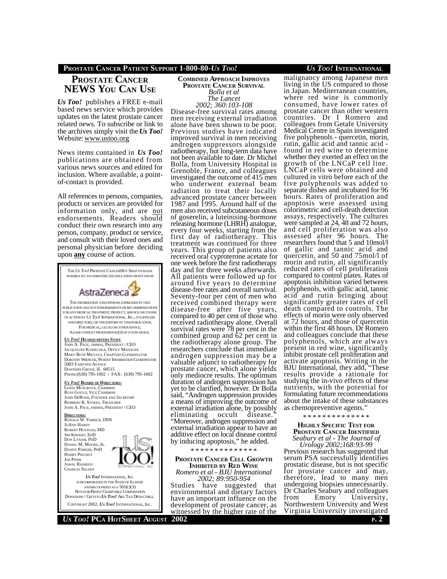## **PROSTATE CANCER PATIENT SUPPORT 1-800-80-***US TOO! US TOO!* **INTERNATIONAL**

# **PROSTATE CANCER NEWS YOU CAN USE**

*Us Too!* publishes a FREE e-mail based news service which provides updates on the latest prostate cancer related news. To subscribe or link to the archives simply visit the *Us Too!* Website: www.ustoo.org

News items contained in *Us Too!* publications are obtained from various news sources and edited for inclusion. Where available, a pointof-contact is provided.

All references to persons, companies, products or services are provided for information only, and are not endorsements. Readers should conduct their own research into any person, company, product or service, and consult with their loved ones and personal physician before deciding upon **any** course of action.



#### **COMBINED APPROACH IMPROVES PROSTATE CANCER SURVIVAL** *Bolla et al The Lancet 2002; 360:103-108*

Disease-free survival rates among men receiving external irradiation alone have been shown to be poor. Previous studies have indicated improved survival in men receiving androgen suppressors alongside radiotherapy, but long-term data have not been available to date. Dr Michel Bolla, from University Hospital in Grenoble, France, and colleagues investigated the outcome of 415 men who underwent external beam radiation to treat their locally advanced prostate cancer between 1987 and 1995. Around half of the men also received subcutaneous doses of goserelin, a luteinising-hormone releasing hormone (LHRH) analogue, every four weeks, starting from the first day of radiotherapy. This treatment was continued for three years. This group of patients also received oral cyproterone acetate for one week before the first radiotherapy day and for three weeks afterwards. All patients were followed up for around five years to determine disease-free rates and overall survival. Seventy-four per cent of men who received combined therapy were disease-free after five years, compared to 40 per cent of those who received radiotherapy alone. Overall survival rates were 78 per cent in the combined group and 62 per cent in the radiotherapy alone group. The researchers conclude that immediate androgen suppression may be a valuable adjunct to radiotherapy for prostate cancer, which alone yields only mediocre results. The optimum duration of androgen suppression has yet to be clarified, however. Dr Bolla said, "Androgen suppression provides a means of improving the outcome of external irradiation alone, by possibly eliminating occult disease. "Moreover, androgen suppression and external irradiation appear to have an additive effect on local disease control by inducing apoptosis," he added.

#### \* \* \* \* \* \* \* \* \* \* \* \* \* \*

#### **PROSTATE CANCER CELL GROWTH INHIBITED BY RED WINE** *Romero et al - BJU International 2002; 89:950-954*

Studies have suggested that environmental and dietary factors have an important influence on the development of prostate cancer, as witnessed by the higher rate of the

malignancy among Japanese men living in the US compared to those in Japan. Mediterranean countries, where red wine is commonly consumed, have lower rates of prostate cancer than other western countries. Dr I Romero and colleagues from Getafe University Medical Centre in Spain investigated five polyphenols - quercetin, morin, rutin, gallic acid and tannic acid found in red wine to determine whether they exerted an effect on the growth of the LNCaP cell line. LNCaP cells were obtained and cultured in vitro before each of the five polyphenols was added to separate dishes and incubated for 96 hours. Rates of proliferation and apoptosis were assessed using colorimetric and cell-death detection assays, respectively. The cultures were sampled at 24, 48 and 72 hours, and cell proliferation was also assessed after 96 hours. The researchers found that 5 and 10mol/l of gallic and tannic acid and quercetin, and 50 and 75mol/l of morin and rutin, all significantly reduced rates of cell proliferation compared to control plates. Rates of apoptosis inhibition varied between polyphenols, with gallic acid, tannic acid and rutin bringing about significantly greater rates of cell death compared to controls. The effects of morin were only observed at 72 hours, and those of quercetin within the first 48 hours. Dr Romero and colleagues conclude that these polyphenols, which are always present in red wine, significantly inhibit prostate cell proliferation and activate apoptosis. Writing in the BJU International, they add, "These results provide a rationale for studying the in-vivo effects of these nutrients, with the potential for formulating future recommendations about the intake of these substances as chemopreventive agents."

\* \* \* \* \* \* \* \* \* \* \* \* \* \*

#### **HIGHLY SPECIFIC TEST FOR PROSTATE CANCER IDENTIFIED** *Seabury et al - The Journal of*

*Urology 2002;168:93-99* Previous research has suggested that serum PSA successfully identifies prostatic disease, but is not specific for prostate cancer and may, therefore, lead to many men undergoing biopsies unnecessarily. Dr Charles Seabury and colleagues<br>from Emory University, University, Northwestern University and West Virginia University investigated

*US TOO!* **PCA HOTSHEET AUGUST 2002 <sup>P</sup>. 2**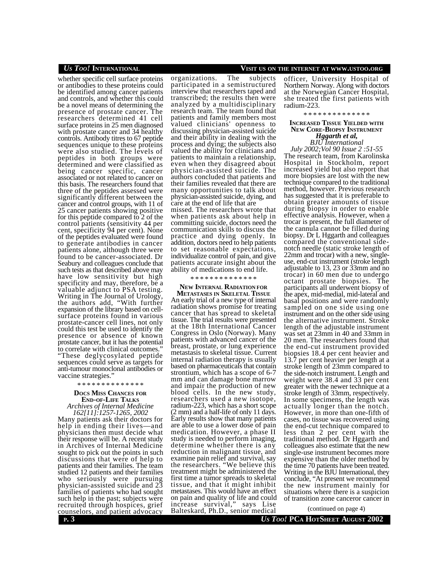whether specific cell surface proteins or antibodies to these proteins could be identified among cancer patients and controls, and whether this could be a novel means of determining the presence of prostate cancer. The researchers determined 41 cell surface proteins in 25 men diagnosed with prostate cancer and 34 healthy controls. Antibody titres to 67 peptide sequences unique to these proteins were also studied. The levels of peptides in both groups were determined and were classified as being cancer specific, cancer associated or not related to cancer on this basis. The researchers found that three of the peptides assessed were significantly different between the cancer and control groups, with 11 of 25 cancer patients showing positive for this peptide compared to 2 of the control patients (sensitivity 44 per cent, specificity 94 per cent). None of the peptides evaluated were found to generate antibodies in cancer patients alone, although three were found to be cancer-associated. Dr Seabury and colleagues conclude that such tests as that described above may have low sensitivity but high specificity and may, therefore, be a valuable adjunct to PSA testing. Writing in The Journal of Urology, the authors add, "With further expansion of the library based on cellsurface proteins found in various prostate-cancer cell lines, not only could this test be used to identify the presence or absence of known prostate cancer, but it has the potential to correlate with clinical outcomes." "These deglycosylated peptide sequences could serve as targets for anti-tumour monoclonal antibodies or vaccine strategies."

\* \* \* \* \* \* \* \* \* \* \* \* \* \*

# **DOCS MISS CHANCES FOR END-OF-LIFE TALKS**

*Archives of Internal Medicine 162[11]:1257-1265, 2002*

Many patients ask their doctors for help in ending their lives—and physicians then must decide what their response will be. A recent study in Archives of Internal Medicine sought to pick out the points in such discussions that were of help to patients and their families. The team studied 12 patients and their families who seriously were pursuing physician-assisted suicide and 23 families of patients who had sought such help in the past; subjects were recruited through hospices, grief counselors, and patient advocacy

organizations. The subjects participated in a semistructured interview that researchers taped and transcribed; the results then were analyzed by a multidisciplinary research team. The team found that patients and family members most valued clinicians' openness to discussing physician-assisted suicide and their ability in dealing with the process and dying; the subjects also valued the ability for clinicians and patients to maintain a relationship, even when they disagreed about physician-assisted suicide. The authors concluded that patients and their families revealed that there are many opportunities to talk about physician-assisted suicide, dying, and care at the end of life that are

missed. The researchers wrote that when patients ask about help in committing suicide, doctors need the communication skills to discuss the practice and dying openly. In addition, doctors need to help patients to set reasonable expectations, individualize control of pain, and give patients accurate insight about the ability of medications to end life.

\* \* \* \* \* \* \* \* \* \* \* \* \* \*

#### **NEW INTERNAL RADIATION FOR METASTASES IN SKELETAL TISSUE**

An early trial of a new type of internal radiation shows promise for treating cancer that has spread to skeletal tissue. The trial results were presented at the 18th International Cancer Congress in Oslo (Norway). Many patients with advanced cancer of the breast, prostate, or lung experience metastasis to skeletal tissue. Current internal radiation therapy is usually based on pharmaceuticals that contain strontium, which has a scope of 6-7 mm and can damage bone marrow and impair the production of new blood cells. In the new study, researchers used a new isotope, radium-223, which has a short scope (2 mm) and a half-life of only 11 days. Early results show that many patients are able to use a lower dose of pain medication. However, a phase II study is needed to perform imaging, determine whether there is any reduction in malignant tissue, and examine pain relief and survival, say the researchers. "We believe this treatment might be administered the first time a tumor spreads to skeletal tissue, and that it might inhibit metastases. This would have an effect on pain and quality of life and could increase survival," says Lise Balteskard, Ph.D., senior medical

### *US TOO!* **INTERNATIONAL VISIT US ON THE INTERNET AT WWW.USTOO.ORG**

officer, University Hospital of Northern Norway. Along with doctors at the Norwegian Cancer Hospital, she treated the first patients with radium-223.

#### \* \* \* \* \* \* \* \* \* \* \* \* \* \*

#### **INCREASED TISSUE YIELDED WITH NEW CORE-BIOPSY INSTRUMENT** *Hggarth et al, BJU International*

*July 2002;Vol 90 Issue 2 :51-55* The research team, from Karolinska Hospital in Stockholm, report increased yield but also report that more biopsies are lost with the new technique compared to the traditional method, however. Previous research has suggested that it is preferable to obtain greater amounts of tissue during biopsy in order to enable effective analysis. However, when a trocar is present, the full diameter of the cannula cannot be filled during biopsy. Dr L Hggarth and colleagues compared the conventional sidenotch needle (static stroke length of 22mm and trocar) with a new, singleuse, end-cut instrument (stroke length adjustable to 13, 23 or 33mm and no trocar) in 60 men due to undergo octant prostate biopsies. The participants all underwent biopsy of the apex, mid-medial, mid-lateral and basal positions and were randomly sampled on one side using one instrument and on the other side using the alternative instrument. Stroke length of the adjustable instrument was set at 23mm in 40 and 33mm in 20 men. The researchers found that the end-cut instrument provided biopsies 18.4 per cent heavier and 13.7 per cent heavier per length at a stroke length of 23mm compared to the side-notch instrument. Length and weight were 38.4 and 33 per cent greater with the newer technique at a stroke length of 33mm, respectively. In some specimens, the length was actually longer than the notch. However, in more than one-fifth of cases, no tissue was recovered using the end-cut technique compared to less than 2 per cent with the traditional method. Dr Hggarth and colleagues also estimate that the new single-use instrument becomes more expensive than the older method by the time 70 patients have been treated. Writing in the BJU International, they conclude, "At present we recommend the new instrument mainly for situations where there is a suspicion of transition zone canceror cancer in

(continued on page 4)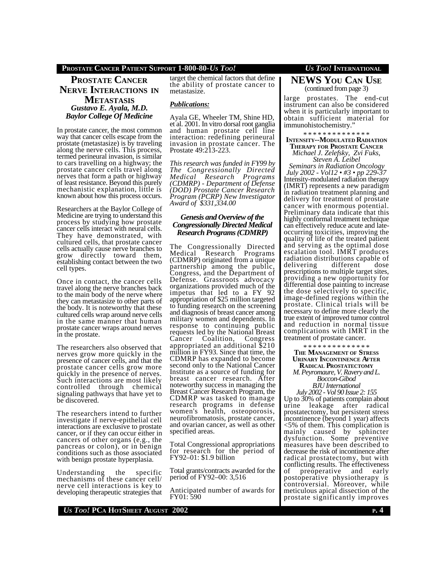### **PROSTATE CANCER PATIENT SUPPORT 1-800-80-***US TOO! US TOO!* **INTERNATIONAL**

**PROSTATE CANCER NERVE INTERACTIONS IN METASTASIS** *Gustavo E. Ayala, M.D. Baylor College Of Medicine*

In prostate cancer, the most common way that cancer cells escape from the prostate (metastasize) is by traveling along the nerve cells. This process, termed perineural invasion, is similar to cars travelling on a highway; the prostate cancer cells travel along nerves that form a path or highway of least resistance. Beyond this purely mechanistic explanation, little is known about how this process occurs.

Researchers at the Baylor College of Medicine are trying to understand this process by studying how prostate cancer cells interact with neural cells. They have demonstrated, with cultured cells, that prostate cancer cells actually cause nerve branches to grow directly toward them, establishing contact between the two cell types.

Once in contact, the cancer cells travel along the nerve branches back to the main body of the nerve where they can metastasize to other parts of the body. It is noteworthy that these cultured cells wrap around nerve cells in the same manner that human prostate cancer wraps around nerves in the prostate.

The researchers also observed that nerves grow more quickly in the presence of cancer cells, and that the prostate cancer cells grow more quickly in the presence of nerves. Such interactions are most likely controlled through chemical signaling pathways that have yet to be discovered.

The researchers intend to further investigate if nerve-epithelial cell interactions are exclusive to prostate cancer, or if they can occur either in cancers of other organs (e.g., the pancreas or colon), or in benign conditions such as those associated with benign prostate hyperplasia.

Understanding the specific mechanisms of these cancer cell/ nerve cell interactions is key to developing therapeutic strategies that target the chemical factors that define the ability of prostate cancer to metastasize.

#### *Publications:*

Ayala GE, Wheeler TM, Shine HD, et al. 2001. In vitro dorsal root ganglia and human prostate cell line interaction: redefining perineural invasion in prostate cancer. The Prostate 49:213-223.

*This research was funded in FY99 by The Congressionally Directed Medical Research Programs (CDMRP) - Department of Defense (DOD) Prostate Cancer Research Program (PCRP) New Investigator Award of \$331,334.00*

#### *Genesis and Overview of the Congressionally Directed Medical Research Programs (CDMRP)*

The Congressionally Directed Medical Research Programs (CDMRP) originated from a unique partnership among the public, Congress, and the Department of Defense. Grassroots advocacy organizations provided much of the impetus that led to a FY 92 appropriation of \$25 million targeted to funding research on the screening and diagnosis of breast cancer among military women and dependents. In response to continuing public requests led by the National Breast Cancer Coalition, Congress appropriated an additional \$210 million in FY93. Since that time, the CDMRP has expanded to become second only to the National Cancer Institute as a source of funding for breast cancer research. After noteworthy success in managing the Breast Cancer Research Program, the CDMRP was tasked to manage research programs in defense women's health, osteoporosis, neurofibromatosis, prostate cancer, and ovarian cancer, as well as other specified areas.

Total Congressional appropriations for research for the period of FY92–01: \$1.9 billion

Total grants/contracts awarded for the period of FY92–00: 3,516

Anticipated number of awards for FY01: 590

## **NEWS YOU CAN USE** (continued from page 3)

large prostates. The end-cut instrument can also be considered when it is particularly important to obtain sufficient material for immunohistochemistry.'

#### \* \* \* \* \* \* \* \* \* \* \* \* \* \* **INTENSITY--MODULATED RADIATION THERAPY FOR PROSTATE CANCER** *Michael J. Zelefsky, Zvi Fuks, Steven A. Leibel*

*Seminars in Radiation Oncology July 2002 - Vol12 • #3 • pp 229-37* Intensity-modulated radiation therapy (IMRT) represents a new paradigm in radiation treatment planning and delivery for treatment of prostate cancer with enormous potential. Preliminary data indicate that this highly conformal treatment technique can effectively reduce acute and lateoccurring toxicities, improving the quality of life of the treated patient and serving as the optimal dose escalation tool. IMRT produces radiation distributions capable of<br>delivering different dose delivering different dose prescriptions to multiple target sites, providing a new opportunity for differential dose painting to increase the dose selectively to specific, image-defined regions within the prostate. Clinical trials will be necessary to define more clearly the true extent of improved tumor control and reduction in normal tissue complications with IMRT in the treatment of prostate cancer.

\* \* \* \* \* \* \* \* \* \* \* \* \* \*

**THE MANAGEMENT OF STRESS URINARY INCONTINENCE AFTER RADICAL PROSTATECTOMY**

*M. Peyromaure, V. Ravery and L. Boccon-Gibod BJU International*

*July 2002 - Vol 90 Issue 2: 155* Up to 30% of patients complain about urine leakage after radical prostatectomy, but persistent stress incontinence (beyond 1 year) affects <5% of them. This complication is mainly caused by sphincter dysfunction. Some preventive measures have been described to decrease the risk of incontinence after radical prostatectomy, but with conflicting results. The effectiveness of preoperative and early postoperative physiotherapy is controversial. Moreover, while meticulous apical dissection of the prostate significantly improves

*US TOO!* **PCA HOTSHEET AUGUST 2002 <sup>P</sup>. 4**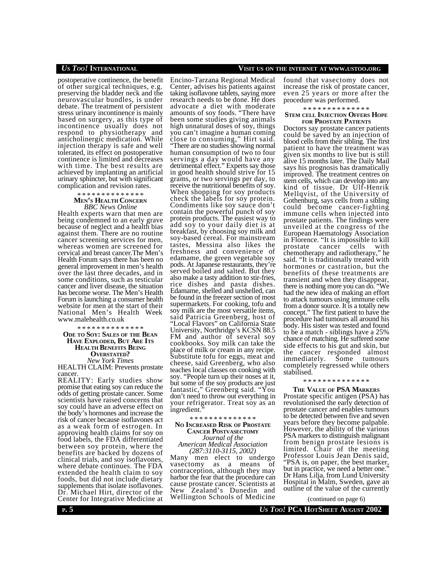postoperative continence, the benefit of other surgical techniques, e.g. preserving the bladder neck and the neurovascular bundles, is under debate. The treatment of persistent stress urinary incontinence is mainly based on surgery, as this type of incontinence usually does not respond to physiotherapy and anticholinergic medication. While injection therapy is safe and well tolerated, its effect on postoperative continence is limited and decreases with time. The best results are achieved by implanting an artificial urinary sphincter, but with significant complication and revision rates.

#### \* \* \* \* \* \* \* \* \* \* \* \* \* \* **MEN'S HEALTH CONCERN** *BBC News Online*

Health experts warn that men are being condemned to an early grave because of neglect and a health bias against them. There are no routine cancer screening services for men, whereas women are screened for cervical and breast cancer.The Men's Health Forum says there has been no general improvement in men's health over the last three decades, and in some conditions, such as testicular cancer and liver disease, the situation has become worse. The Men's Health Forum is launching a consumer health website for men at the start of their National Men's Health Week www.malehealth.co.uk

\* \* \* \* \* \* \* \* \* \* \* \* \* \*

**ODE TO SOY: SALES OF THE BEAN HAVE EXPLODED, BUT ARE ITS HEALTH BENEFITS BEING OVERSTATED?** *New York Times*

HEALTH CLAIM: Prevents prostate cancer.

REALITY: Early studies show promise that eating soy can reduce the odds of getting prostate cancer. Some scientists have raised concerns that soy could have an adverse effect on the body's hormones and increase the risk of cancer because isoflavones act as a weak form of estrogen. In approving health claims for soy on food labels, the FDA differentiated between soy protein, where the benefits are backed by dozens of clinical trials, and soy isoflavones, where debate continues. The FDA extended the health claim to soy foods, but did not include dietary supplements that isolate isoflavones. Dr. Michael Hirt, director of the Center for Integrative Medicine at

Encino-Tarzana Regional Medical Center, advises his patients against taking isoflavone tablets, saying more research needs to be done. He does advocate a diet with moderate amounts of soy foods. "There have been some studies giving animals high unnatural doses of soy, things you can't imagine a human coming close to consuming," Hirt said. "There are no studies showing normal human consumption of two to four servings a day would have any detrimental effect." Experts say those in good health should strive for 15 grams, or two servings per day, to receive the nutritional benefits of soy. When shopping for soy products check the labels for soy protein. Condiments like soy sauce don't contain the powerful punch of soy protein products. The easiest way to add soy to your daily diet is at breakfast, by choosing soy milk and soy-based cereal. For mainstream tastes, Messina also likes the freshness and convenience of edamame, the green vegetable soy pods. At Japanese restaurants, they're served boiled and salted. But they also make a tasty addition to stir-fries, rice dishes and pasta dishes. Edamame, shelled and unshelled, can be found in the freezer section of most supermarkets. For cooking, tofu and soy milk are the most versatile items, said Patricia Greenberg, host of "Local Flavors" on California State University, Northridge's KCSN 88.5 FM and author of several soy cookbooks. Soy milk can take the place of milk or cream in any recipe. Substitute tofu for eggs, meat and cheese, said Greenberg, who also teaches local classes on cooking with soy. "People turn up their noses at it, but some of the soy products are just fantastic," Greenberg said. "You don't need to throw out everything in your refrigerator. Treat soy as an ingredient."

\* \* \* \* \* \* \* \* \* \* \* \* \* \*

#### **NO INCREASED RISK OF PROSTATE CANCER POSTVASECTOMY** *Journal of the*

#### *American Medical Association (287:3110-3115, 2002)*

Many men elect to undergo vasectomy as a means of contraception, although they may harbor the fear that the procedure can cause prostate cancer. Scientists at New Zealand's Dunedin and Wellington Schools of Medicine

## *US TOO!* **INTERNATIONAL VISIT US ON THE INTERNET AT WWW.USTOO.ORG**

found that vasectomy does not increase the risk of prostate cancer, even 25 years or more after the procedure was performed.

# \* \* \* \* \* \* \* \* \* \* \* \* \* \*

#### **STEM CELL INJECTION OFFERS HOPE FOR PROSTATE PATIENTS**

Doctors say prostate cancer patients could be saved by an injection of blood cells from their sibling. The first patient to have the treatment was given six months to live but is still alive 15 months later. The Daily Mail says his prognosis has dramatically improved. The treatment centres on stem cells, which can develop into any kind of tissue. Dr Ulf-Henrik Mellqvist, of the University of Gothenburg, says cells from a sibling could become cancer-fighting immune cells when injected into prostate patients. The findings were unveiled at the congress of the European Haematology Association in Florence. "It is impossible to kill prostate cancer cells with chemotherapy and radiotherapy," he said. "It is traditionally treated with hormones or castration, but the benefits of these treatments are transient and when they disappear, there is nothing more you can do. "We had the new idea of making an effort to attack tumours using immune cells from a donor source. It is a totally new concept." The first patient to have the procedure had tumours all around his body. His sister was tested and found to be a match - siblings have a 25% chance of matching. He suffered some side effects to his gut and skin, but the cancer responded almost<br>immediately. Some tumours Some tumours completely regressed while others stabilised.

#### \* \* \* \* \* \* \* \* \* \* \* \* \* \*

#### **THE VALUE OF PSA MARKERS**

Prostate specific antigen (PSA) has revolutionised the early detection of prostate cancer and enables tumours to be detected between five and seven years before they become palpable. However, the ability of the various PSA markers to distinguish malignant from benign prostate lesions is limited. Chair of the meeting Professor Louis Jean Denis said, "PSA is, on paper, the best marker, but in practice, we need a better one.<sup>"</sup> Dr Hans Lilja, from Lund University Hospital in Malm, Sweden, gave an outline of the value of the currently

(continued on page 6)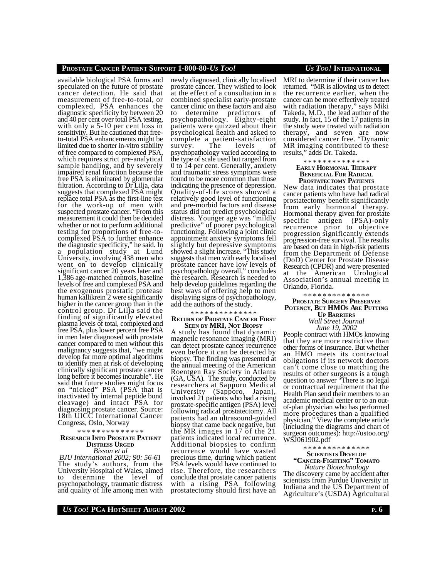#### **PROSTATE CANCER PATIENT SUPPORT 1-800-80-***US TOO! US TOO!* **INTERNATIONAL**

available biological PSA forms and speculated on the future of prostate cancer detection. He said that measurement of free-to-total, or complexed, PSA enhances the diagnostic specificity by between 20 and 40 per cent over total PSA testing, with only a 5-10 per cent loss in sensitivity. But he cautioned that freeto-total PSA enhancements might be limited due to shorter in-vitro stability of free compared to complexed PSA, which requires strict pre-analytical sample handling, and by severely impaired renal function because the free PSA is eliminated by glomerular filtration. According to Dr Lilja, data suggests that complexed PSA might replace total PSA as the first-line test for the work-up of men with suspected prostate cancer. "From this measurement it could then be decided whether or not to perform additional testing for proportions of free-tocomplexed PSA to further enhance the diagnostic specificity," he said. In a population study at Lund University, involving 438 men who went on to develop clinically significant cancer 20 years later and 1,386 age-matched controls, baseline levels of free and complexed PSA and the exogenous prostatic protease human kallikrein 2 were significantly higher in the cancer group than in the control group. Dr Lilja said the finding of significantly elevated plasma levels of total, complexed and free PSA, plus lower percent free PSA in men later diagnosed with prostate cancer compared to men without this malignancy suggests that, "we might develop far more optimal algorithms to identify men at risk of developing clinically significant prostate cancer long before it becomes incurable". He said that future studies might focus on "nicked" PSA (PSA that is inactivated by internal peptide bond cleavage) and intact PSA for diagnosing prostate cancer. Source: 18th UICC International Cancer Congress, Oslo, Norway

\* \* \* \* \* \* \* \* \* \* \* \* \* \*

#### **RESEARCH INTO PROSTATE PATIENT DISTRESS URGED** *Bisson et al*

*BJU International 2002; 90: 56-61* The study's authors, from the University Hospital of Wales, aimed to determine the level of psychopathology, traumatic distress and quality of life among men with newly diagnosed, clinically localised prostate cancer. They wished to look at the effect of a consultation in a combined specialist early-prostate cancer clinic on these factors and also to determine predictors of psychopathology. Eighty-eight patients were quizzed about their psychological health and asked to complete a patient-satisfaction survey. The levels of psychopathology varied according to the type of scale used but ranged from 0 to 14 per cent. Generally, anxiety and traumatic stress symptoms were found to be more common than those indicating the presence of depression. Quality-of-life scores showed a relatively good level of functioning and pre-morbid factors and disease status did not predict psychological distress. Younger age was "mildly predictive" of poorer psychological functioning. Following a joint clinic appointment anxiety symptoms fell slightly but depressive symptoms showed a slight increase. "This study suggests that men with early localised prostate cancer have low levels of psychopathology overall," concludes the research. Research is needed to help develop guidelines regarding the best ways of offering help to men displaying signs of psychopathology, add the authors of the study.

## \* \* \* \* \* \* \* \* \* \* \* \* \* \*

**RETURN OF PROSTATE CANCER FIRST SEEN BY MRI, NOT BIOPSY**

A study has found that dynamic magnetic resonance imaging (MRI) can detect prostate cancer recurrence even before it can be detected by biopsy. The finding was presented at the annual meeting of the American Roentgen Ray Society in Atlanta (GA, USA). The study, conducted by researchers at Sapporo Medical University (Sapporo, Japan), involved 21 patients who had a rising prostate-specific antigen (PSA) level following radical prostatectomy. All patients had an ultrasound-guided biopsy that came back negative, but the MR images in 17 of the 21 patients indicated local recurrence. Additional biopsies to confirm recurrence would have wasted precious time, during which patient PSA levels would have continued to rise. Therefore, the researchers conclude that prostate cancer patients with a rising PSA following prostatectomy should first have an

MRI to determine if their cancer has returned. "MR is allowing us to detect the recurrence earlier, when the cancer can be more effectively treated with radiation therapy," says Miki Takeda, M.D., the lead author of the study. In fact, 15 of the 17 patients in the study were treated with radiation therapy, and seven are now considered cancer free. "Dynamic MR imaging contributed to these results," adds Dr. Takeda.

#### \* \* \* \* \* \* \* \* \* \* \* \* \* \* **EARLY HORMONAL THERAPY BENEFICIAL FOR RADICAL PROSTATECTOMY PATIENTS**

New data indicates that prostate cancer patients who have had radical prostatectomy benefit significantly from early hormonal therapy. Hormonal therapy given for prostate specific antigen (PSA)-only recurrence prior to objective progression significantly extends progression-free survival. The results are based on data in high-risk patients from the Department of Defense (DoD) Center for Prostate Disease Research (CPDR) and were presented at the American Urological Association's annual meeting in Orlando, Florida.

\* \* \* \* \* \* \* \* \* \* \* \* \* \* **PROSTATE SURGERY PRESERVES POTENCY, BUT HMOS ARE PUTTING UP BARRIERS**

*Wall Street Journal*

*June 19, 2002* People contract with HMOs knowing that they are more restrictive than other forms of insurance. But whether an HMO meets its contractual obligations if its network doctors can't come close to matching the results of other surgeons is a tough question to answer "There is no legal or contractual requirement that the Health Plan send their members to an academic medical center or to an outof-plan physician who has performed more procedures than a qualified physician," View the complete article (including the diagrams and chart of surgeon outcomes): http://ustoo.org/ WSJ061902.pdf

#### \* \* \* \* \* \* \* \* \* \* \* \* \* \* **SCIENTISTS DEVELOP "CANCER-FIGHTING" TOMATO**

*Nature Biotechnology* The discovery came by accident after scientists from Purdue University in Indiana and the US Department of Agriculture's (USDA) Agricultural

## *US TOO!* **PCA HOTSHEET AUGUST 2002 <sup>P</sup>. 6**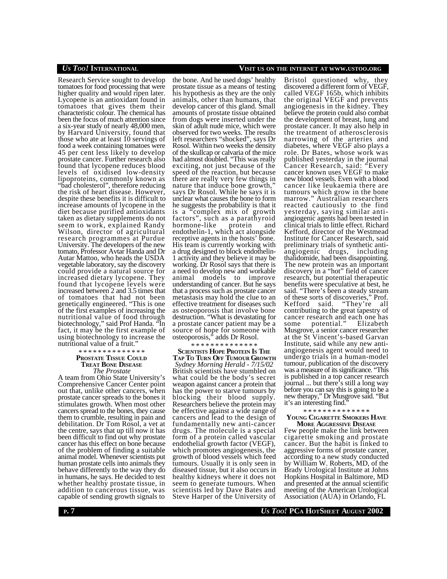Research Service sought to develop tomatoes for food processing that were higher quality and would ripen later. Lycopene is an antioxidant found in tomatoes that gives them their characteristic colour. The chemical has been the focus of much attention since a six-year study of nearly 48,000 men, by Harvard University, found that those who ate at least 10 servings of food a week containing tomatoes were 45 per cent less likely to develop prostate cancer. Further research also found that lycopene reduces blood levels of oxidised low-density lipoproteins, commonly known as "bad cholesterol", therefore reducing the risk of heart disease. However, despite these benefits it is difficult to increase amounts of lycopene in the diet because purified antioxidants taken as dietary supplements do not seem to work, explained Randy Wilson, director of agricultural research programmes at Purdue University. The developers of the new tomato, Professor Avtar Handa and Dr Autar Mattoo, who heads the USDA vegetable laboratory, say the discovery could provide a natural source for increased dietary lycopene. They found that lycopene levels were increased between 2 and 3.5 times that of tomatoes that had not been genetically engineered. "This is one of the first examples of increasing the nutritional value of food through biotechnology," said Prof Handa. "In fact, it may be the first example of using biotechnology to increase the nutritional value of a fruit."

#### \* \* \* \* \* \* \* \* \* \* \* \* \* \* **PROSTATE TISSUE COULD TREAT BONE DISEASE** *The Prostate*

A team from Ohio State University's Comprehensive Cancer Center point out that, unlike other cancers, when prostate cancer spreads to the bones it stimulates growth. When most other cancers spread to the bones, they cause them to crumble, resulting in pain and debilitation. Dr Tom Rosol, a vet at the centre, says that up till now it has been difficult to find out why prostate cancer has this effect on bone because of the problem of finding a suitable animal model. Whenever scientists put human prostate cells into animals they behave differently to the way they do in humans, he says. He decided to test whether healthy prostate tissue, in addition to cancerous tissue, was capable of sending growth signals to

the bone. And he used dogs' healthy prostate tissue as a means of testing his hypothesis as they are the only animals, other than humans, that develop cancer of this gland. Small amounts of prostate tissue obtained from dogs were inserted under the skin of adult nude mice, which were observed for two weeks. The results left researchers "shocked", says Dr Rosol. Within two weeks the density of the skullcap or calvaria of the mice had almost doubled. "This was really exciting, not just because of the speed of the reaction, but because there are really very few things in nature that induce bone growth," says Dr Rosol. While he says it is unclear what causes the bone to form he suggests the probability is that it is a "complex mix of growth factors", such as a parathyroid<br>hormone-like protein and hormone-like protein and endothelin-1, which act alongside receptive agents in the hosts' bone. His team is currently working with a drug designed to block endothelin-1 activity and they believe it may be working. Dr Rosol says that there is a need to develop new and workable animal models to improve understanding of cancer. But he says that a process such as prostate cancer metastasis may hold the clue to an effective treatment for diseases such as osteoporosis that involve bone destruction. "What is devastating for a prostate cancer patient may be a source of hope for someone with osteoporosis," adds Dr Rosol.

#### \* \* \* \* \* \* \* \* \* \* \* \* \* \*

**SCIENTISTS HOPE PROTEIN IS THE TAP TO TURN OFF TUMOUR GROWTH** *Sydney Morning Herald - 7/15/02* British scientists have stumbled on what could be the body's secret weapon against cancer a protein that has the power to starve tumours by blocking their blood supply. Researchers believe the protein may be effective against a wide range of cancers and lead to the design of fundamentally new anti-cancer drugs. The molecule is a special form of a protein called vascular endothelial growth factor (VEGF), which promotes angiogenesis, the growth of blood vessels which feed tumours. Usually it is only seen in diseased tissue, but it also occurs in healthy kidneys where it does not seem to generate tumours. When scientists led by Dave Bates and Steve Harper of the University of

discovered a different form of VEGF, called VEGF 165b, which inhibits the original VEGF and prevents

angiogenesis in the kidney. They believe the protein could also combat the development of breast, lung and prostate cancer. It may also help in the treatment of atherosclerosis narrowing of the arteries and diabetes, where VEGF also plays a role. Dr Bates, whose work was published yesterday in the journal Cancer Research, said: "Every cancer known uses VEGF to make new blood vessels. Even with a blood cancer like leukaemia there are tumours which grow in the bone marrow." Australian researchers reacted cautiously to the find yesterday, saying similar antiangiogenic agents had been tested in clinical trials to little effect. Richard Kefford, director of the Westmead Institute for Cancer Research, said preliminary trials of synthetic antiangiogenic drugs, including thalidomide, had been disappointing. The new protein was an important discovery in a "hot" field of cancer research, but potential therapeutic benefits were speculative at best, he said. "There's been a steady stream of these sorts of discoveries," Prof. Kefford said. "They're all contributing to the great tapestry of cancer research and each one has some potential." Elizabeth Musgrove, a senior cancer researcher at the St Vincent's-based Garvan Institute, said while any new antiangiogenesis agent would need to undergo trials in a human-model tumour, publication of the discovery was a measure of its significance. "This is published in a top cancer research journal ... but there's still a long way before you can say this is going to be a new therapy," Dr Musgrove said. "But it's an interesting find."

#### \* \* \* \* \* \* \* \* \* \* \* \* \* \*

#### **YOUNG CIGARETTE SMOKERS HAVE MORE AGGRESSIVE DISEASE**

Few people make the link between cigarette smoking and prostate cancer. But the habit is linked to aggressive forms of prostate cancer, according to a new study conducted by William W. Roberts, MD, of the Brady Urological Institute at Johns Hopkins Hospital in Baltimore, MD and presented at the annual scientific meeting of the American Urological Association (AUA) in Orlando, FL

# *US TOO!* **INTERNATIONAL VISIT US ON THE INTERNET AT WWW.USTOO.ORG**

Bristol questioned why, they